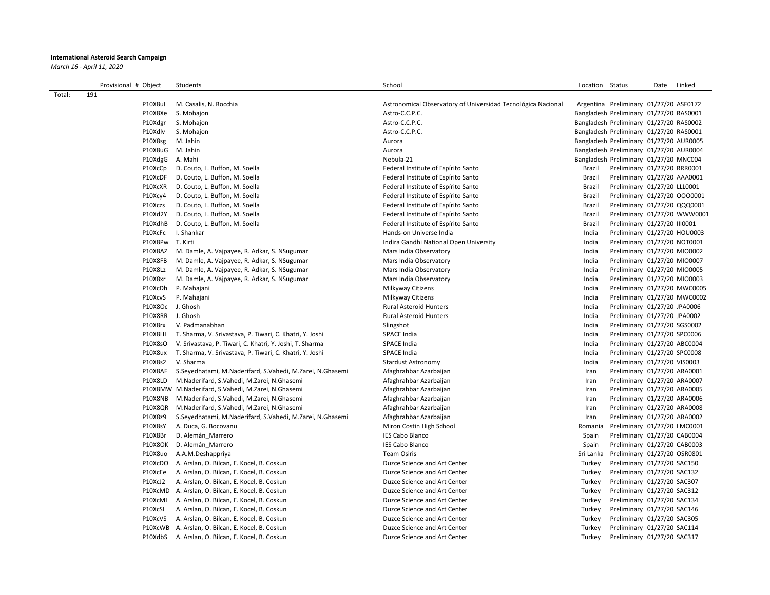## **International Asteroid Search Campaign**

*March 16 - April 11, 2020*

|        | Provisional # Object | Students                                                       | School                                                       | Location Status |                                         | Date | Linked |
|--------|----------------------|----------------------------------------------------------------|--------------------------------------------------------------|-----------------|-----------------------------------------|------|--------|
| Total: | 191                  |                                                                |                                                              |                 |                                         |      |        |
|        | P10X8ul              | M. Casalis, N. Rocchia                                         | Astronomical Observatory of Universidad Tecnológica Nacional |                 | Argentina Preliminary 01/27/20 ASF0172  |      |        |
|        | P10X8Xe              | S. Mohajon                                                     | Astro-C.C.P.C.                                               |                 | Bangladesh Preliminary 01/27/20 RAS0001 |      |        |
|        | P10Xdgr              | S. Mohajon                                                     | Astro-C.C.P.C.                                               |                 | Bangladesh Preliminary 01/27/20 RAS0002 |      |        |
|        | P10Xdlv              | S. Mohajon                                                     | Astro-C.C.P.C.                                               |                 | Bangladesh Preliminary 01/27/20 RAS0001 |      |        |
|        | P10X8sg              | M. Jahin                                                       | Aurora                                                       |                 | Bangladesh Preliminary 01/27/20 AUR0005 |      |        |
|        | P10X8uG              | M. Jahin                                                       | Aurora                                                       |                 | Bangladesh Preliminary 01/27/20 AUR0004 |      |        |
|        | P10XdgG              | A. Mahi                                                        | Nebula-21                                                    |                 | Bangladesh Preliminary 01/27/20 MNC004  |      |        |
|        | P10XcCp              | D. Couto, L. Buffon, M. Soella                                 | Federal Institute of Espírito Santo                          | Brazil          | Preliminary 01/27/20 RRR0001            |      |        |
|        | P10XcDF              | D. Couto, L. Buffon, M. Soella                                 | Federal Institute of Espírito Santo                          | Brazil          | Preliminary 01/27/20 AAA0001            |      |        |
|        | P10XcXR              | D. Couto, L. Buffon, M. Soella                                 | Federal Institute of Espírito Santo                          | Brazil          | Preliminary 01/27/20 LLL0001            |      |        |
|        | P10Xcy4              | D. Couto, L. Buffon, M. Soella                                 | Federal Institute of Espírito Santo                          | Brazil          | Preliminary 01/27/20 0000001            |      |        |
|        | P10Xczs              | D. Couto, L. Buffon, M. Soella                                 | Federal Institute of Espírito Santo                          | Brazil          | Preliminary 01/27/20 QQQ0001            |      |        |
|        | P10Xd2Y              | D. Couto, L. Buffon, M. Soella                                 | Federal Institute of Espírito Santo                          | Brazil          | Preliminary 01/27/20 WWW0001            |      |        |
|        | P10XdhB              | D. Couto, L. Buffon, M. Soella                                 | Federal Institute of Espírito Santo                          | Brazil          | Preliminary 01/27/20 III0001            |      |        |
|        | P10XcFc              | I. Shankar                                                     | Hands-on Universe India                                      | India           | Preliminary 01/27/20 HOU0003            |      |        |
|        | P10X8Pw T. Kirti     |                                                                | Indira Gandhi National Open University                       | India           | Preliminary 01/27/20 NOT0001            |      |        |
|        | P10X8AZ              | M. Damle, A. Vajpayee, R. Adkar, S. NSugumar                   | Mars India Observatory                                       | India           | Preliminary 01/27/20 MIO0002            |      |        |
|        | P10X8FB              | M. Damle, A. Vajpayee, R. Adkar, S. NSugumar                   | Mars India Observatory                                       | India           | Preliminary 01/27/20 MIO0007            |      |        |
|        | P10X8Lz              | M. Damle, A. Vajpayee, R. Adkar, S. NSugumar                   | Mars India Observatory                                       | India           | Preliminary 01/27/20 MIO0005            |      |        |
|        | P10X8xr              | M. Damle, A. Vajpayee, R. Adkar, S. NSugumar                   | Mars India Observatory                                       | India           | Preliminary 01/27/20 MIO0003            |      |        |
|        | P10XcDh              | P. Mahajani                                                    | Milkyway Citizens                                            | India           | Preliminary 01/27/20 MWC0005            |      |        |
|        | P10XcvS              | P. Mahajani                                                    | Milkyway Citizens                                            | India           | Preliminary 01/27/20 MWC0002            |      |        |
|        | P10X8Oc J. Ghosh     |                                                                | <b>Rural Asteroid Hunters</b>                                | India           | Preliminary 01/27/20 JPA0006            |      |        |
|        | P10X8RR J. Ghosh     |                                                                | <b>Rural Asteroid Hunters</b>                                | India           | Preliminary 01/27/20 JPA0002            |      |        |
|        | P10X8rx              | V. Padmanabhan                                                 | Slingshot                                                    | India           | Preliminary 01/27/20 SGS0002            |      |        |
|        | <b>P10X8HI</b>       | T. Sharma, V. Srivastava, P. Tiwari, C. Khatri, Y. Joshi       | SPACE India                                                  | India           | Preliminary 01/27/20 SPC0006            |      |        |
|        | P10X8sO              | V. Srivastava, P. Tiwari, C. Khatri, Y. Joshi, T. Sharma       | SPACE India                                                  | India           | Preliminary 01/27/20 ABC0004            |      |        |
|        | P10X8ux              | T. Sharma, V. Srivastava, P. Tiwari, C. Khatri, Y. Joshi       | <b>SPACE India</b>                                           | India           | Preliminary 01/27/20 SPC0008            |      |        |
|        | P10X8s2              | V. Sharma                                                      | <b>Stardust Astronomy</b>                                    | India           | Preliminary 01/27/20 VIS0003            |      |        |
|        | P10X8AF              | S.Seyedhatami, M.Naderifard, S.Vahedi, M.Zarei, N.Ghasemi      | Afaghrahbar Azarbaijan                                       | Iran            | Preliminary 01/27/20 ARA0001            |      |        |
|        | P10X8LD              | M.Naderifard, S.Vahedi, M.Zarei, N.Ghasemi                     | Afaghrahbar Azarbaijan                                       | Iran            | Preliminary 01/27/20 ARA0007            |      |        |
|        |                      | P10X8MW M.Naderifard, S.Vahedi, M.Zarei, N.Ghasemi             | Afaghrahbar Azarbaijan                                       | Iran            | Preliminary 01/27/20 ARA0005            |      |        |
|        | P10X8NB              | M.Naderifard, S.Vahedi, M.Zarei, N.Ghasemi                     | Afaghrahbar Azarbaijan                                       | Iran            | Preliminary 01/27/20 ARA0006            |      |        |
|        | P10X8QR              | M.Naderifard, S.Vahedi, M.Zarei, N.Ghasemi                     | Afaghrahbar Azarbaijan                                       | Iran            | Preliminary 01/27/20 ARA0008            |      |        |
|        | P10X8z9              | S. Seyedhatami, M. Naderifard, S. Vahedi, M. Zarei, N. Ghasemi | Afaghrahbar Azarbaijan                                       | Iran            | Preliminary 01/27/20 ARA0002            |      |        |
|        | P10X8sY              | A. Duca, G. Bocovanu                                           | Miron Costin High School                                     | Romania         | Preliminary 01/27/20 LMC0001            |      |        |
|        | P10X8Br              | D. Alemán_Marrero                                              | <b>IES Cabo Blanco</b>                                       | Spain           | Preliminary 01/27/20 CAB0004            |      |        |
|        | P10X8OK              | D. Alemán_Marrero                                              | <b>IES Cabo Blanco</b>                                       | Spain           | Preliminary 01/27/20 CAB0003            |      |        |
|        | P10X8uo              | A.A.M.Deshappriya                                              | <b>Team Osiris</b>                                           | Sri Lanka       | Preliminary 01/27/20 OSR0801            |      |        |
|        | P10XcDO              | A. Arslan, O. Bilcan, E. Kocel, B. Coskun                      | Duzce Science and Art Center                                 | Turkey          | Preliminary 01/27/20 SAC150             |      |        |
|        | P10XcEe              | A. Arslan, O. Bilcan, E. Kocel, B. Coskun                      | Duzce Science and Art Center                                 | Turkey          | Preliminary 01/27/20 SAC132             |      |        |
|        | P10XcJ2              | A. Arslan, O. Bilcan, E. Kocel, B. Coskun                      | Duzce Science and Art Center                                 | Turkey          | Preliminary 01/27/20 SAC307             |      |        |
|        |                      | P10XcMD A. Arslan, O. Bilcan, E. Kocel, B. Coskun              | Duzce Science and Art Center                                 | Turkey          | Preliminary 01/27/20 SAC312             |      |        |
|        | P10XcML              | A. Arslan, O. Bilcan, E. Kocel, B. Coskun                      | Duzce Science and Art Center                                 | Turkey          | Preliminary 01/27/20 SAC134             |      |        |
|        | P10XcSI              | A. Arslan, O. Bilcan, E. Kocel, B. Coskun                      | Duzce Science and Art Center                                 | Turkey          | Preliminary 01/27/20 SAC146             |      |        |
|        | P10XcVS              | A. Arslan, O. Bilcan, E. Kocel, B. Coskun                      | Duzce Science and Art Center                                 | Turkey          | Preliminary 01/27/20 SAC305             |      |        |
|        |                      | P10XcWB A. Arslan, O. Bilcan, E. Kocel, B. Coskun              | Duzce Science and Art Center                                 | Turkey          | Preliminary 01/27/20 SAC114             |      |        |
|        | P10XdbS              | A. Arslan, O. Bilcan, E. Kocel, B. Coskun                      | Duzce Science and Art Center                                 | Turkey          | Preliminary 01/27/20 SAC317             |      |        |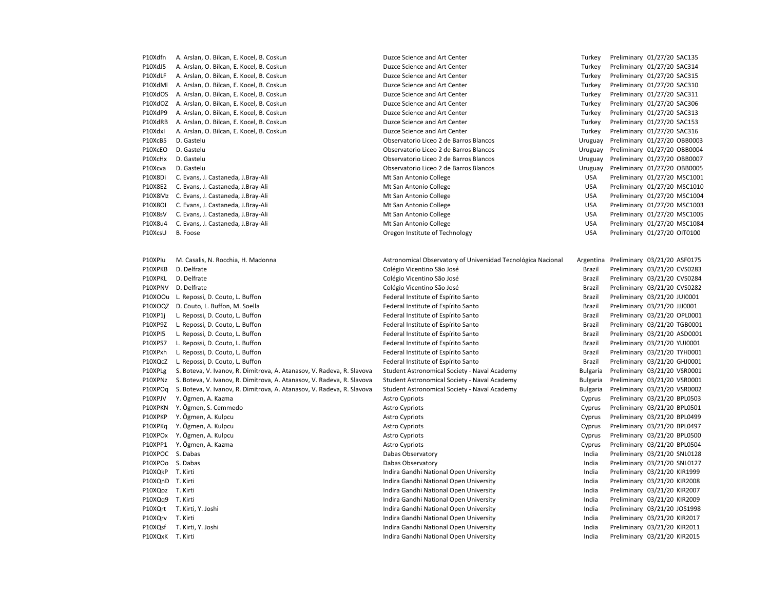| P10Xdfn          | A. Arslan, O. Bilcan, E. Kocel, B. Coskun                              | Duzce Science and Art Center                                 | Turkey          | Preliminary 01/27/20 SAC135  |
|------------------|------------------------------------------------------------------------|--------------------------------------------------------------|-----------------|------------------------------|
| P10XdJ5          | A. Arslan, O. Bilcan, E. Kocel, B. Coskun                              | Duzce Science and Art Center                                 | Turkey          | Preliminary 01/27/20 SAC314  |
| P10XdLF          | A. Arslan, O. Bilcan, E. Kocel, B. Coskun                              | Duzce Science and Art Center                                 | Turkey          | Preliminary 01/27/20 SAC315  |
| P10XdMl          | A. Arslan, O. Bilcan, E. Kocel, B. Coskun                              | Duzce Science and Art Center                                 | Turkey          | Preliminary 01/27/20 SAC310  |
| P10XdOS          | A. Arslan, O. Bilcan, E. Kocel, B. Coskun                              | Duzce Science and Art Center                                 | Turkey          | Preliminary 01/27/20 SAC311  |
| P10XdOZ          | A. Arslan, O. Bilcan, E. Kocel, B. Coskun                              | Duzce Science and Art Center                                 | Turkey          | Preliminary 01/27/20 SAC306  |
| P10XdP9          | A. Arslan, O. Bilcan, E. Kocel, B. Coskun                              | Duzce Science and Art Center                                 | Turkey          | Preliminary 01/27/20 SAC313  |
| P10XdRB          | A. Arslan, O. Bilcan, E. Kocel, B. Coskun                              | Duzce Science and Art Center                                 | Turkey          | Preliminary 01/27/20 SAC153  |
| P10Xdxl          | A. Arslan, O. Bilcan, E. Kocel, B. Coskun                              | Duzce Science and Art Center                                 | Turkey          | Preliminary 01/27/20 SAC316  |
| P10XcB5          | D. Gastelu                                                             | Observatorio Liceo 2 de Barros Blancos                       | Uruguay         | Preliminary 01/27/20 OBB0003 |
| P10XcEO          | D. Gastelu                                                             | Observatorio Liceo 2 de Barros Blancos                       | Uruguay         | Preliminary 01/27/20 OBB0004 |
| P10XcHx          | D. Gastelu                                                             | Observatorio Liceo 2 de Barros Blancos                       | Uruguay         | Preliminary 01/27/20 OBB0007 |
| P10Xcva          | D. Gastelu                                                             | Observatorio Liceo 2 de Barros Blancos                       | Uruguay         | Preliminary 01/27/20 OBB0005 |
| P10X8Di          | C. Evans, J. Castaneda, J.Bray-Ali                                     | Mt San Antonio College                                       | <b>USA</b>      | Preliminary 01/27/20 MSC1001 |
| P10X8E2          | C. Evans, J. Castaneda, J.Bray-Ali                                     | Mt San Antonio College                                       | <b>USA</b>      | Preliminary 01/27/20 MSC1010 |
|                  | P10X8Mz C. Evans, J. Castaneda, J.Bray-Ali                             | Mt San Antonio College                                       | <b>USA</b>      | Preliminary 01/27/20 MSC1004 |
| P10X8OI          | C. Evans, J. Castaneda, J.Bray-Ali                                     | Mt San Antonio College                                       | <b>USA</b>      | Preliminary 01/27/20 MSC1003 |
| P10X8sV          | C. Evans, J. Castaneda, J.Bray-Ali                                     | Mt San Antonio College                                       | <b>USA</b>      | Preliminary 01/27/20 MSC1005 |
| P10X8u4          | C. Evans, J. Castaneda, J.Bray-Ali                                     | Mt San Antonio College                                       | <b>USA</b>      | Preliminary 01/27/20 MSC1084 |
| P10XcsU          | B. Foose                                                               | Oregon Institute of Technology                               | <b>USA</b>      | Preliminary 01/27/20 OIT0100 |
|                  |                                                                        |                                                              |                 |                              |
| P10XPlu          | M. Casalis, N. Rocchia, H. Madonna                                     | Astronomical Observatory of Universidad Tecnológica Nacional | Argentina       | Preliminary 03/21/20 ASF0175 |
| P10XPKB          | D. Delfrate                                                            | Colégio Vicentino São José                                   | Brazil          | Preliminary 03/21/20 CVS0283 |
| P10XPKL          | D. Delfrate                                                            | Colégio Vicentino São José                                   | Brazil          | Preliminary 03/21/20 CVS0284 |
| P10XPNV          | D. Delfrate                                                            | Colégio Vicentino São José                                   | Brazil          | Preliminary 03/21/20 CVS0282 |
|                  | P10XOOu L. Repossi, D. Couto, L. Buffon                                | Federal Institute of Espírito Santo                          | Brazil          | Preliminary 03/21/20 JUI0001 |
|                  | P10XOQZ D. Couto, L. Buffon, M. Soella                                 | Federal Institute of Espírito Santo                          | Brazil          | Preliminary 03/21/20 JJJ0001 |
| P10XP1j          | L. Repossi, D. Couto, L. Buffon                                        | Federal Institute of Espírito Santo                          | Brazil          | Preliminary 03/21/20 OPL0001 |
| P10XP9Z          | L. Repossi, D. Couto, L. Buffon                                        | Federal Institute of Espírito Santo                          | Brazil          | Preliminary 03/21/20 TGB0001 |
| <b>P10XPI5</b>   | L. Repossi, D. Couto, L. Buffon                                        | Federal Institute of Espírito Santo                          | Brazil          | Preliminary 03/21/20 ASD0001 |
| P10XPS7          | L. Repossi, D. Couto, L. Buffon                                        | Federal Institute of Espírito Santo                          | Brazil          | Preliminary 03/21/20 YUI0001 |
| P10XPxh          | L. Repossi, D. Couto, L. Buffon                                        | Federal Institute of Espírito Santo                          | Brazil          | Preliminary 03/21/20 TYH0001 |
| P10XQcZ          | L. Repossi, D. Couto, L. Buffon                                        | Federal Institute of Espírito Santo                          | Brazil          | Preliminary 03/21/20 GHJ0001 |
| P10XPLg          | S. Boteva, V. Ivanov, R. Dimitrova, A. Atanasov, V. Radeva, R. Slavova | Student Astronomical Society - Naval Academy                 | Bulgaria        | Preliminary 03/21/20 VSR0001 |
| P10XPNz          | S. Boteva, V. Ivanov, R. Dimitrova, A. Atanasov, V. Radeva, R. Slavova | Student Astronomical Society - Naval Academy                 | <b>Bulgaria</b> | Preliminary 03/21/20 VSR0001 |
| P10XPOq          | S. Boteva, V. Ivanov, R. Dimitrova, A. Atanasov, V. Radeva, R. Slavova | Student Astronomical Society - Naval Academy                 | <b>Bulgaria</b> | Preliminary 03/21/20 VSR0002 |
| P10XPJV          | Y. Ögmen, A. Kazma                                                     | <b>Astro Cypriots</b>                                        | Cyprus          | Preliminary 03/21/20 BPL0503 |
|                  | P10XPKN Y. Ögmen, S. Cemmedo                                           | <b>Astro Cypriots</b>                                        | Cyprus          | Preliminary 03/21/20 BPL0501 |
| P10XPKP          | Y. Ögmen, A. Kulpcu                                                    | <b>Astro Cypriots</b>                                        | Cyprus          | Preliminary 03/21/20 BPL0499 |
| P10XPKq          | Y. Ögmen, A. Kulpcu                                                    | <b>Astro Cypriots</b>                                        | Cyprus          | Preliminary 03/21/20 BPL0497 |
|                  | P10XPOx Y. Ögmen, A. Kulpcu                                            | <b>Astro Cypriots</b>                                        | Cyprus          | Preliminary 03/21/20 BPL0500 |
|                  | P10XPP1 Y. Ögmen, A. Kazma                                             | <b>Astro Cypriots</b>                                        | Cyprus          | Preliminary 03/21/20 BPL0504 |
| P10XPOC S. Dabas |                                                                        | Dabas Observatory                                            | India           | Preliminary 03/21/20 SNL0128 |
| P10XPOo S. Dabas |                                                                        | Dabas Observatory                                            | India           | Preliminary 03/21/20 SNL0127 |
| P10XQkP T. Kirti |                                                                        | Indira Gandhi National Open University                       | India           | Preliminary 03/21/20 KIR1999 |
| P10XQnD T. Kirti |                                                                        | Indira Gandhi National Open University                       | India           | Preliminary 03/21/20 KIR2008 |
| P10XQoz T. Kirti |                                                                        | Indira Gandhi National Open University                       | India           | Preliminary 03/21/20 KIR2007 |
| P10XQq9 T. Kirti |                                                                        | Indira Gandhi National Open University                       | India           | Preliminary 03/21/20 KIR2009 |
|                  | P10XQrt T. Kirti, Y. Joshi                                             | Indira Gandhi National Open University                       | India           | Preliminary 03/21/20 JOS1998 |
| P10XQrv          | T. Kirti                                                               | Indira Gandhi National Open University                       | India           | Preliminary 03/21/20 KIR2017 |
| P10XQsf          | T. Kirti, Y. Joshi                                                     | Indira Gandhi National Open University                       | India           | Preliminary 03/21/20 KIR2011 |
| P10XQxK T. Kirti |                                                                        | Indira Gandhi National Open University                       | India           | Preliminary 03/21/20 KIR2015 |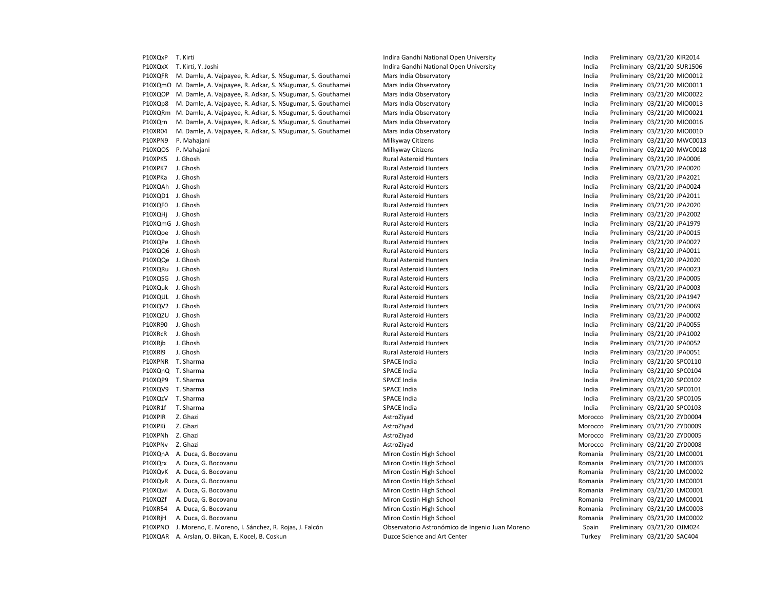| P10XQxP          | T. Kirti                                                           | Indira Gandhi National Open University          | India   | Preliminary 03/21/20 KIR2014 |
|------------------|--------------------------------------------------------------------|-------------------------------------------------|---------|------------------------------|
| P10XQxX          | T. Kirti, Y. Joshi                                                 | Indira Gandhi National Open University          | India   | Preliminary 03/21/20 SUR1506 |
| P10XQFR          | M. Damle, A. Vajpayee, R. Adkar, S. NSugumar, S. Gouthamei         | Mars India Observatory                          | India   | Preliminary 03/21/20 MIO0012 |
|                  | P10XQmO M. Damle, A. Vajpayee, R. Adkar, S. NSugumar, S. Gouthamei | Mars India Observatory                          | India   | Preliminary 03/21/20 MIO0011 |
| P10XQOP          | M. Damle, A. Vajpayee, R. Adkar, S. NSugumar, S. Gouthamei         | Mars India Observatory                          | India   | Preliminary 03/21/20 MIO0022 |
| P10XQp8          | M. Damle, A. Vajpayee, R. Adkar, S. NSugumar, S. Gouthamei         | Mars India Observatory                          | India   | Preliminary 03/21/20 MIO0013 |
| P10XQRm          | M. Damle, A. Vajpayee, R. Adkar, S. NSugumar, S. Gouthamei         | Mars India Observatory                          | India   | Preliminary 03/21/20 MIO0021 |
| P10XQrn          | M. Damle, A. Vajpayee, R. Adkar, S. NSugumar, S. Gouthamei         | Mars India Observatory                          | India   | Preliminary 03/21/20 MIO0016 |
| P10XR04          | M. Damle, A. Vajpayee, R. Adkar, S. NSugumar, S. Gouthamei         | Mars India Observatory                          | India   | Preliminary 03/21/20 MIO0010 |
| P10XPN9          | P. Mahajani                                                        | Milkyway Citizens                               | India   | Preliminary 03/21/20 MWC0013 |
| P10XQOS          | P. Mahajani                                                        | Milkyway Citizens                               | India   | Preliminary 03/21/20 MWC0018 |
| P10XPK5          | J. Ghosh                                                           | <b>Rural Asteroid Hunters</b>                   | India   | Preliminary 03/21/20 JPA0006 |
| P10XPK7          | J. Ghosh                                                           | <b>Rural Asteroid Hunters</b>                   | India   | Preliminary 03/21/20 JPA0020 |
| P10XPKa          | J. Ghosh                                                           | <b>Rural Asteroid Hunters</b>                   | India   | Preliminary 03/21/20 JPA2021 |
| P10XQAh J. Ghosh |                                                                    | <b>Rural Asteroid Hunters</b>                   | India   | Preliminary 03/21/20 JPA0024 |
| P10XQD1 J. Ghosh |                                                                    | <b>Rural Asteroid Hunters</b>                   | India   | Preliminary 03/21/20 JPA2011 |
| P10XQF0 J. Ghosh |                                                                    | <b>Rural Asteroid Hunters</b>                   | India   | Preliminary 03/21/20 JPA2020 |
| P10XQHj J. Ghosh |                                                                    | <b>Rural Asteroid Hunters</b>                   | India   | Preliminary 03/21/20 JPA2002 |
| P10XQmG J. Ghosh |                                                                    | <b>Rural Asteroid Hunters</b>                   | India   | Preliminary 03/21/20 JPA1979 |
| P10XQoe J. Ghosh |                                                                    | <b>Rural Asteroid Hunters</b>                   | India   | Preliminary 03/21/20 JPA0015 |
| P10XQPe J. Ghosh |                                                                    | <b>Rural Asteroid Hunters</b>                   | India   | Preliminary 03/21/20 JPA0027 |
| P10XQQ6 J. Ghosh |                                                                    | <b>Rural Asteroid Hunters</b>                   | India   | Preliminary 03/21/20 JPA0011 |
| P10XQQe J. Ghosh |                                                                    | <b>Rural Asteroid Hunters</b>                   | India   | Preliminary 03/21/20 JPA2020 |
| P10XQRu J. Ghosh |                                                                    | Rural Asteroid Hunters                          | India   | Preliminary 03/21/20 JPA0023 |
| P10XQSG J. Ghosh |                                                                    | <b>Rural Asteroid Hunters</b>                   | India   | Preliminary 03/21/20 JPA0005 |
| P10XQuk J. Ghosh |                                                                    | <b>Rural Asteroid Hunters</b>                   | India   | Preliminary 03/21/20 JPA0003 |
| P10XQUL J. Ghosh |                                                                    | <b>Rural Asteroid Hunters</b>                   | India   | Preliminary 03/21/20 JPA1947 |
| P10XQV2 J. Ghosh |                                                                    | Rural Asteroid Hunters                          | India   | Preliminary 03/21/20 JPA0069 |
| P10XQZU J. Ghosh |                                                                    | <b>Rural Asteroid Hunters</b>                   | India   | Preliminary 03/21/20 JPA0002 |
| P10XR90          | J. Ghosh                                                           | <b>Rural Asteroid Hunters</b>                   | India   | Preliminary 03/21/20 JPA0055 |
| P10XRcR          | J. Ghosh                                                           | <b>Rural Asteroid Hunters</b>                   | India   | Preliminary 03/21/20 JPA1002 |
| P10XRjb          | J. Ghosh                                                           | <b>Rural Asteroid Hunters</b>                   | India   | Preliminary 03/21/20 JPA0052 |
| P10XRI9          | J. Ghosh                                                           | <b>Rural Asteroid Hunters</b>                   | India   | Preliminary 03/21/20 JPA0051 |
|                  | P10XPNR T. Sharma                                                  | SPACE India                                     | India   | Preliminary 03/21/20 SPC0110 |
|                  | P10XQnQ T. Sharma                                                  | <b>SPACE India</b>                              | India   | Preliminary 03/21/20 SPC0104 |
|                  | P10XQP9 T. Sharma                                                  | <b>SPACE India</b>                              | India   |                              |
|                  |                                                                    |                                                 |         | Preliminary 03/21/20 SPC0102 |
|                  | P10XQV9 T. Sharma                                                  | SPACE India                                     | India   | Preliminary 03/21/20 SPC0101 |
| P10XQzV          | T. Sharma                                                          | <b>SPACE India</b>                              | India   | Preliminary 03/21/20 SPC0105 |
| P10XR1f          | T. Sharma                                                          | <b>SPACE India</b>                              | India   | Preliminary 03/21/20 SPC0103 |
| P10XPIR          | Z. Ghazi                                                           | AstroZiyad                                      | Morocco | Preliminary 03/21/20 ZYD0004 |
| P10XPKi          | Z. Ghazi                                                           | AstroZiyad                                      | Morocco | Preliminary 03/21/20 ZYD0009 |
| P10XPNh Z. Ghazi |                                                                    | AstroZiyad                                      | Morocco | Preliminary 03/21/20 ZYD0005 |
| P10XPNv          | Z. Ghazi                                                           | AstroZiyad                                      | Morocco | Preliminary 03/21/20 ZYD0008 |
|                  | P10XQnA A. Duca, G. Bocovanu                                       | Miron Costin High School                        | Romania | Preliminary 03/21/20 LMC0001 |
| P10XQrx          | A. Duca, G. Bocovanu                                               | Miron Costin High School                        | Romania | Preliminary 03/21/20 LMC0003 |
| P10XQvK          | A. Duca, G. Bocovanu                                               | Miron Costin High School                        | Romania | Preliminary 03/21/20 LMC0002 |
| P10XQvR          | A. Duca, G. Bocovanu                                               | Miron Costin High School                        | Romania | Preliminary 03/21/20 LMC0001 |
| P10XQwi          | A. Duca, G. Bocovanu                                               | Miron Costin High School                        | Romania | Preliminary 03/21/20 LMC0001 |
| P10XQZf          | A. Duca, G. Bocovanu                                               | Miron Costin High School                        | Romania | Preliminary 03/21/20 LMC0001 |
| P10XR54          | A. Duca, G. Bocovanu                                               | Miron Costin High School                        | Romania | Preliminary 03/21/20 LMC0003 |
| P10XRjH          | A. Duca, G. Bocovanu                                               | Miron Costin High School                        | Romania | Preliminary 03/21/20 LMC0002 |
| P10XPNO          | J. Moreno, E. Moreno, I. Sánchez, R. Rojas, J. Falcón              | Observatorio Astronómico de Ingenio Juan Moreno | Spain   | Preliminary 03/21/20 OJM024  |
|                  | P10XQAR A. Arslan, O. Bilcan, E. Kocel, B. Coskun                  | Duzce Science and Art Center                    | Turkey  | Preliminary 03/21/20 SAC404  |